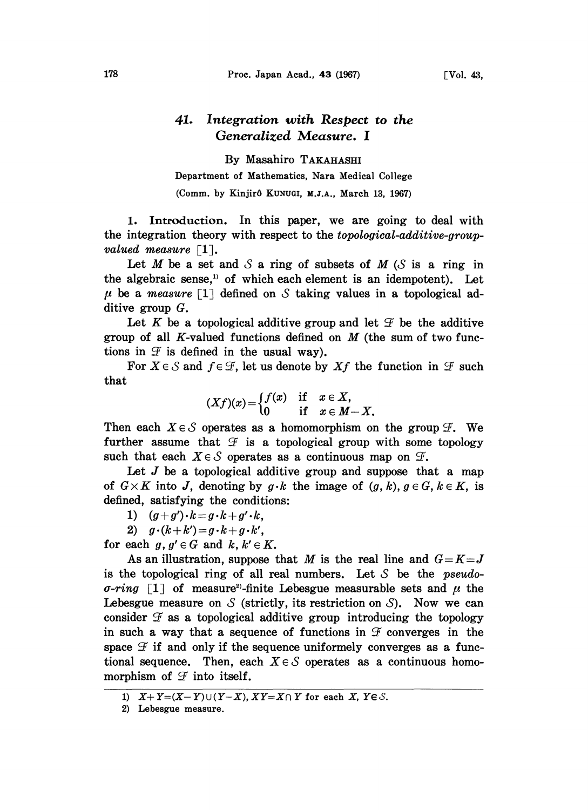## 41. Integration with Respect to the Generalized Measure. I

By Masahiro TAKAHASm Department of Mathematics, Nara Medical College (Comm. by Kinjirô KUNUGI, M.J.A., March 13, 1967)

1. Introduction. In this paper, we are going to deal with the integration theory with respect to the topological-additive-groupvalued measure  $\lceil 1 \rceil$ .

Let M be a set and S a ring of subsets of M (S is a ring in the algebraic sense,<sup>11</sup> of which each element is an idempotent). Let  $\mu$  be a measure [1] defined on S taking values in a topological additive group G.

Let K be a topological additive group and let  $\mathcal F$  be the additive group of all K-valued functions defined on  $M$  (the sum of two functions in  $\mathcal F$  is defined in the usual way).

For  $X \in \mathcal{S}$  and  $f \in \mathcal{F}$ , let us denote by  $Xf$  the function in  $\mathcal{F}$  such that

$$
(Xf)(x) = \begin{cases} f(x) & \text{if } x \in X, \\ 0 & \text{if } x \in M-X. \end{cases}
$$

Then each  $X \in \mathcal{S}$  operates as a homomorphism on the group  $\mathcal{F}$ . We further assume that  $\mathcal F$  is a topological group with some topology such that each  $X \in \mathcal{S}$  operates as a continuous map on  $\mathcal{F}$ .

Let  $J$  be a topological additive group and suppose that a map of  $G \times K$  into J, denoting by  $g \cdot k$  the image of  $(g, k)$ ,  $g \in G$ ,  $k \in K$ , is defined, satisfying the conditions:

1)  $(g+g')\cdot k=g\cdot k+g'\cdot k,$ 

2)  $g \cdot (k+k') = g \cdot k + g \cdot k'$ ,

for each  $g, g' \in G$  and  $k, k' \in K$ .

As an illustration, suppose that M is the real line and  $G=K=J$ is the topological ring of all real numbers. Let  $S$  be the *pseudo*- $\sigma$ -ring [1] of measure<sup>2</sup>-finite Lebesgue measurable sets and  $\mu$  the Lebesgue measure on S (strictly, its restriction on S). Now we can consider  $\mathcal F$  as a topological additive group introducing the topology in such a way that a sequence of functions in  $\mathcal F$  converges in the space  $\mathcal F$  if and only if the sequence uniformely converges as a functional sequence. Then, each  $X \in \mathcal{S}$  operates as a continuous homomorphism of  $\mathcal F$  into itself.

<sup>1)</sup>  $X+Y=(X-Y)\cup (Y-X)$ ,  $XY=X\cap Y$  for each X,  $Y\in\mathcal{S}$ .

<sup>2)</sup> Lebesgue measure.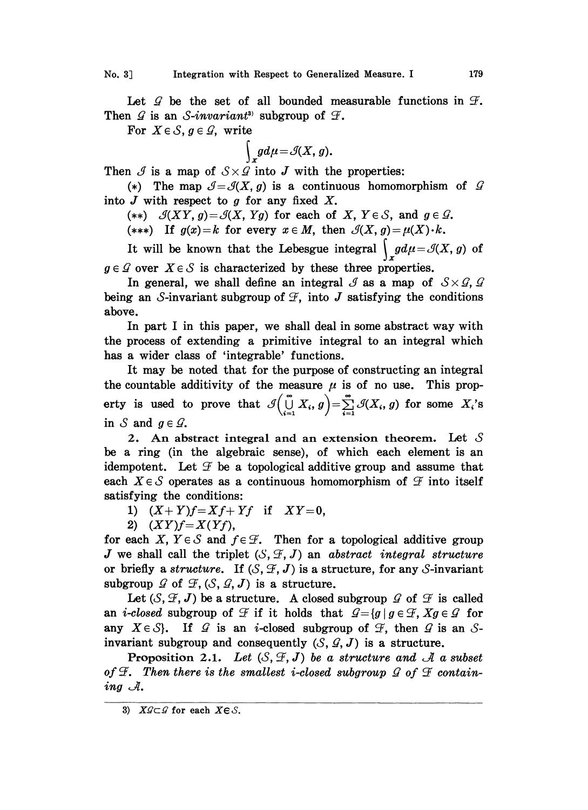Let  $\mathcal G$  be the set of all bounded measurable functions in  $\mathcal F$ . Then  $G$  is an S-invariant<sup>3</sup> subgroup of  $F$ .

For  $X \in \mathcal{S}$ ,  $g \in \mathcal{G}$ , write

$$
\int_{X}gd\mu=\mathcal{A}(X,g).
$$

Then  $\mathcal I$  is a map of  $S \times \mathcal G$  into  $J$  with the properties:

(\*) The map  $\mathcal{J}=\mathcal{J}(X,g)$  is a continuous homomorphism of  $\mathcal{G}$ into  $J$  with respect to  $g$  for any fixed  $X$ .

(\*\*)  $\mathcal{J}(XY, g) = \mathcal{J}(X, Yg)$  for each of X,  $Y \in \mathcal{S}$ , and  $g \in \mathcal{G}$ .

(\*\*\*) If  $g(x)=k$  for every  $x \in M$ , then  $\mathcal{A}(X, g)=\mu(X)\cdot k$ .

It will be known that the Lebesgue integral  $\int_{\mathcal{L}}gd\mu=\mathcal{J}(X, g)$  of  $g \in \mathcal{G}$  over  $X \in \mathcal{S}$  is characterized by these three properties.

In general, we shall define an integral  $\mathcal{J}$  as a map of  $S \times \mathcal{G}$ ,  $\mathcal{G}$ being an S-invariant subgroup of  $\mathcal F$ , into J satisfying the conditions above.

In part <sup>I</sup> in this paper, we shall deal in some abstract way with the process of extending a primitive integral to an integral which has a wider class of 'integrable' functions.

It may be noted that for the purpose of constructing an integral the countable additivity of the measure  $\mu$  is of no use. This property is used to prove that  $\mathcal{J}\left(\bigcup_{i=1}^{\infty} X_i,g\right)=\sum_{i=1}^{\infty} \mathcal{J}(X_i,g)$  for some  $X_i$ 's in S and  $g \in \mathcal{G}$ .

2. An abstract integral and an extension theorem. Let  $S$ be a ring (in the algebraic sense), of which each element is an idempotent. Let  $\mathcal F$  be a topological additive group and assume that each  $X \in \mathcal{S}$  operates as a continuous homomorphism of  $\mathcal{F}$  into itself satisfying the conditions:

1)  $(X+Y)f=Xf+Yf$  if  $XY=0$ ,

2)  $(XY)f = X(Yf)$ ,

for each X,  $Y \in S$  and  $f \in \mathcal{F}$ . Then for a topological additive group J we shall call the triplet  $(S, \mathcal{F}, J)$  an abstract integral structure or briefly a structure. If  $(S, \mathcal{F}, J)$  is a structure, for any S-invariant subgroup  $G$  of  $\mathcal{F}, (\mathcal{S}, \mathcal{G}, J)$  is a structure.

Let  $(S, \mathcal{F}, J)$  be a structure. A closed subgroup  $\mathcal{G}$  of  $\mathcal{F}$  is called an *i-closed* subgroup of  $\mathcal F$  if it holds that  $\mathcal G = \{g \mid g \in \mathcal F, Xg \in \mathcal G \text{ for }$ any  $X \in \mathcal{S}$ . If  $\mathcal{G}$  is an *i*-closed subgroup of invariant subgroup and consequently  $(\mathcal{S}, \mathcal{G}, J)$  is invariant subgroup and consequently  $(S, \mathcal{G}, J)$  is a structure.

**Proposition 2.1.** Let  $(S, \mathcal{F}, J)$  be a structure and  $\mathcal{A}$  a subset of  $\mathcal F$ . Then there is the smallest i-closed subgroup  $\mathcal G$  of  $\mathcal F$  containing  $A$ .

<sup>3)</sup>  $X \mathcal{G} \subset \mathcal{G}$  for each  $X \in \mathcal{S}$ .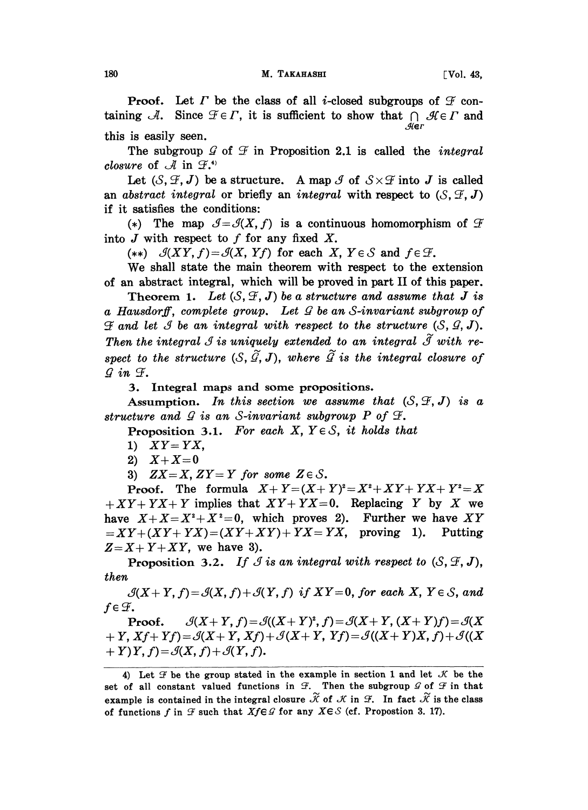**Proof.** Let  $\Gamma$  be the class of all *i*-closed subgroups of  $\mathcal F$  containing A. Since  $\mathcal{F} \in \Gamma$ , it is sufficient to show that  $\cap \mathcal{H} \in \Gamma$  and this is easily seen.

The subgroup  $\mathcal G$  of  $\mathcal F$  in Proposition 2.1 is called the *integral* closure of  $\mathcal A$  in  $\mathcal F^{(*)}$ 

Let  $(S, \mathcal{F}, J)$  be a structure. A map  $\mathcal{J}$  of  $S \times \mathcal{F}$  into J is called an abstract integral or briefly an integral with respect to  $(S, \mathcal{F}, J)$ if it satisfies the conditions:

(\*) The map  $\mathcal{J} = \mathcal{J}(X, f)$  is a continuous homomorphism of  $\mathcal{F}$ into  $J$  with respect to  $f$  for any fixed  $X$ .

(\*\*)  $\mathcal{J}(XY, f) = \mathcal{J}(X, Yf)$  for each X,  $Y \in \mathcal{S}$  and  $f \in \mathcal{F}$ .

We shall state the main theorem with respect to the extension of an abstract integral, which will be proved in part II of this paper.

Theorem 1. Let  $(S, \mathcal{F}, J)$  be a structure and assume that J is a Hausdorff, complete group. Let  $\mathcal G$  be an S-invariant subgroup of  $\mathscr F$  and let  $\mathscr G$  be an integral with respect to the structure  $(\mathscr S, \mathscr G, J)$ . Then the integral  $\mathcal{I}$  is uniquely extended to an integral  $\widetilde{\mathcal{I}}$  with respect to the structure  $(S, \tilde{G}, J)$ , where  $\tilde{G}$  is the integral closure of  $\mathcal{G}$  in  $\mathcal{F}$ .

:3. Integral maps and some propositions.

Assumption. In this section we assume that  $(S, \mathcal{F}, J)$  is a structure and  $\mathcal G$  is an S-invariant subgroup P of  $\mathcal F$ .

Proposition 3.1. For each X,  $Y \in S$ , it holds that

- 1)  $XY = YX$ ,
- 2)  $X+X=0$

3)  $ZX=X, ZY=Y$  for some  $Z \in \mathcal{S}$ .

**Proof.** The formula  $X + Y = (X + Y)^2 = X^2 + XY + YX + Y^2 = X$  $+XY+YX+Y$  implies that  $XY+YX=0$ . Replacing Y by X we have  $X+X=X^2+X^2=0$ , which proves 2). Further we have XY  $=XY+(XY+YX)=(XY+XY)+YX=YX$ , proving 1). Putting  $Z=X+Y+XY$ , we have 3).

**Proposition 3.2.** If I is an integral with respect to  $(S, \mathcal{F}, J)$ , then

 $\mathcal{S}(X+Y, f) = \mathcal{S}(X, f) + \mathcal{S}(Y, f)$  if  $XY=0$ , for each X,  $Y \in \mathcal{S}$ , and

 $f \in \mathcal{F}$ .<br>Proof.  $\mathcal{G}(X+Y, f) = \mathcal{G}((X+Y)^2, f) = \mathcal{G}(X+Y, (X+Y)f) = \mathcal{G}(X)$  $+ Y$ ,  $Xf+ Yf$ ) =  $\mathcal{S}(X+Y, Xf) + \mathcal{S}(X+ Y, Yf) = \mathcal{S}((X+ Y)X, f) + \mathcal{S}((X+ Y)X)$  $+ Y(Y, f) = \mathcal{S}(X, f) + \mathcal{S}(Y, f).$ 

<sup>4)</sup> Let  $\mathcal F$  be the group stated in the example in section 1 and let  $\mathcal K$  be the set of all constant valued functions in  $\mathcal{F}$ . Then the subgroup  $\mathcal{G}$  of  $\mathcal{F}$  in that<br>example is contained in the integral closure.  $\widetilde{K}$  of  $\mathcal{K}$  in  $\mathcal{F}$ . In fact  $\widetilde{K}$  is the class example is contained in the integral closure  $\widetilde{\mathcal{K}}$  of  $\mathcal{K}$  in  $\mathcal{F}$ . In fact  $\widetilde{\mathcal{K}}$  is the class of functions f in  $\mathcal F$  such that  $Xf \in \mathcal G$  for any  $X \in \mathcal S$  (cf. Propostion 3. 17).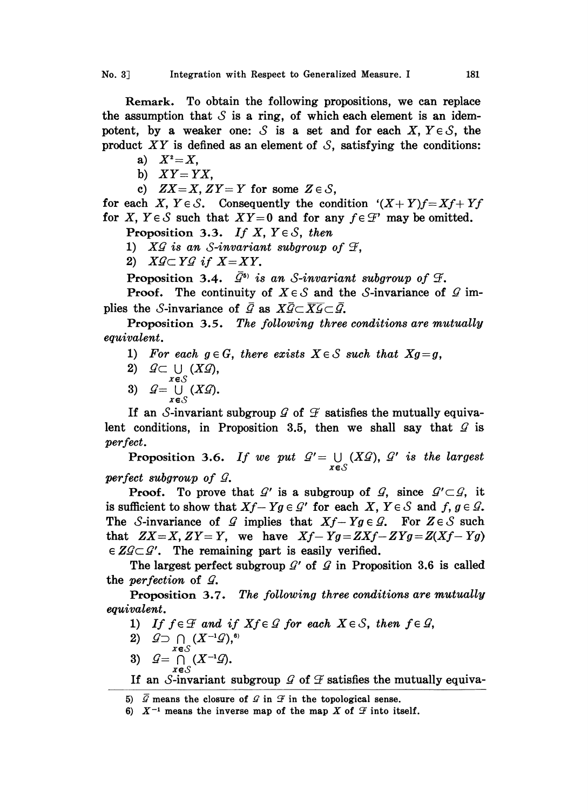Remark. To obtain the following propositions, we can replace the assumption that  $S$  is a ring, of which each element is an idempotent, by a weaker one:  $S$  is a set and for each X,  $Y \in S$ , the product XY is defined as an element of  $S$ , satisfying the conditions:

- a)  $X^2 = X$ ,
- b)  $XY = YX$ ,
- c)  $ZX=X, ZY=Y$  for some  $Z \in \mathcal{S}$ ,

for each X,  $Y \in S$ . Consequently the condition  $(X+Y)f=Xf+Yf$ for X,  $Y \in S$  such that  $XY=0$  and for any  $f \in \mathcal{F}'$  may be omitted.

Proposition 3.3. If X,  $Y \in S$ , then

**Proposition 3.3.** If X,  $Y \in S$ , then<br>
1) XG is an S-invariant subgroup of  $\mathcal{F}$ ,<br>
2) XG  $\subset YG$  if X = XY.

2)  $X \mathcal{G} \subset Y \mathcal{G}$  if  $X = XY$ .<br>Proposition 3.4.  $\overline{\mathcal{G}}^{s_0}$  is an S-invariant subgroup of  $\mathcal{F}$ .

**Proof.** The continuity of  $X \in \mathcal{S}$  and the S-invariance of  $\mathcal{G}$  implies the S-invariance of  $\bar{G}$  as  $X\bar{G}\subset \overline{X}\bar{G}\subset \bar{G}$ .

Proposition 3.5. The following three conditions are mutually equivalent.

- 1) For each  $g \in G$ , there exists  $X \in S$  such that  $Xg = g$ ,
- 
- 2)  $Q \subset \bigcup_{x \in S} (X \mathcal{G}),$ <br>3)  $Q = \bigcup_{x \in S} (X \mathcal{G}).$

If an S-invariant subgroup  $G$  of  $\mathcal F$  satisfies the mutually equiva-<br>lent conditions, in Proposition 3.5, then we shall say that  $G$  is If an S-invariant subgroup  $\mathcal G$  of  $\mathcal F$  satisfies the mutually equivaperfect.

**Proposition 3.6.** If we put  $Q' = \bigcup_{n \geq 0} (X \mathcal{Q}),$  $\mathcal{G}'$  is the largest perfect subgroup of  $G$ .

**Proof.** To prove that  $\mathcal{G}'$  is a subgroup of  $\mathcal{G}$ , since  $\mathcal{G}' \subset \mathcal{G}$ , is sufficient to show that  $Xf - Yg \in \mathcal{G}'$  for each  $X, Y \in \mathcal{S}$  and  $f, g \in \mathcal{G}'$ **Proof.** To prove that  $\mathcal{G}'$  is a subgroup of  $\mathcal{G}$ , since  $\mathcal{G}' \subset \mathcal{G}$ , it The S-invariance of G implies that  $Xf - Yg \in \mathcal{G}$ . For  $Z \in \mathcal{S}$  such  $Tf + Yg \in \mathcal{G}$ . that  $ZX=X, ZY=Y$ , we have  $Xf-Yg=ZXf-ZYg=Z(Xf-Yg)$  $\in \mathbb{Z} \mathcal{Q} \subset \mathcal{Q}'$ . The remaining part is easily verified.

The largest perfect subgroup  $\mathcal{Q}'$  of  $\mathcal{Q}$  in Proposition 3.6 is called perfection of  $\mathcal{Q}$ . the perfection of  $\mathcal{G}$ .

Proposition 3.7. The following three conditions are mutually equivalent.

- 1) If  $f \in \mathcal{F}$  and if  $X f \in \mathcal{G}$  for each  $X \in \mathcal{S}$ , then  $f \in \mathcal{G}$ ,
- 2)  $\mathcal{G} \supset \bigcap (X^{-1}\mathcal{G}),$ <sup>6)</sup>
- 3)  $\mathcal{G}=\bigcap (X^{-1}\mathcal{G}).$
- If an S-invariant subgroup  $\mathcal G$  of  $\mathcal F$  satisfies the mutually equiva-

<sup>5)</sup>  $\mathcal G$  means the closure of  $\mathcal G$  in  $\mathcal F$  in the topological sense.

<sup>6)</sup>  $X^{-1}$  means the inverse map of the map X of  $\mathcal F$  into itself.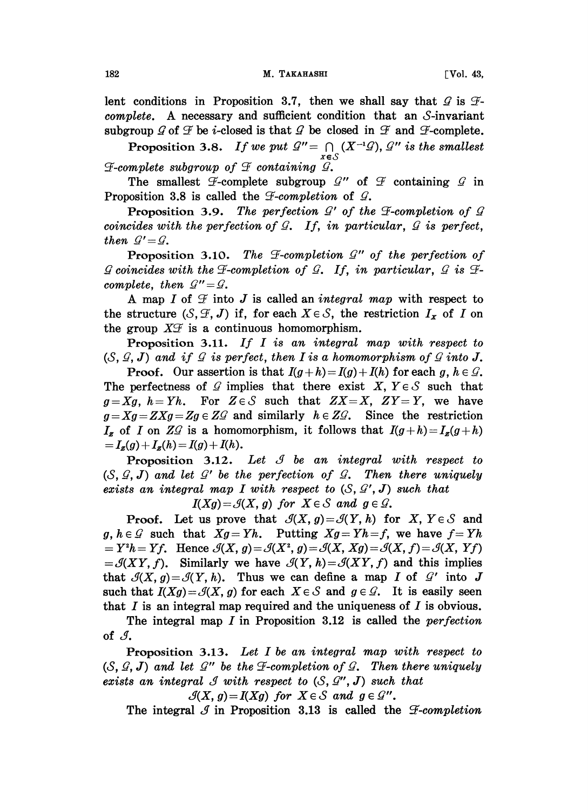lent conditions in Proposition 3.7, then we shall say that  $\mathcal G$  is  $\mathcal F$ subgroup  $\mathcal{G}$  of  $\mathcal{F}$  be *i*-closed is that  $\mathcal{G}$  be closed in  $\mathcal{F}$  and  $\mathcal{F}$ -complete.<br>Dependition 2.8 If we met  $\mathcal{G}'' = \Omega$  ( $X^{-1}\Omega$ )  $\mathcal{G}''$  is the employed  $complete.$  A necessary and sufficient condition that an S-invariant

Proposition 3.8. If we put  $\mathcal{Q}'' = \bigcap_{x \in \mathcal{S}} (X^{-1}\mathcal{Q}),$ is the smallest  $\mathcal F$ -complete subgroup of  $\mathcal F$  containing  $\mathcal G$ .

The smallest  $\mathcal F$ -complete subgroup  $\mathcal G''$  of Proposition 3.8 is called the  $\mathcal F$ -completion of  $\mathcal G$ . The smallest  $\mathcal F$ -complete subgroup  $\mathcal G''$  of  $\mathcal F$  containing  $\mathcal G$  in

**Proposition 3.9.** The perfection  $G'$  of the  $\mathcal{F}$ -completion of  $\mathcal{G}$  coincides with the perfection of  $\mathcal{G}$ . If, in particular,  $\mathcal{G}$  is perfect, then  $\mathcal{G}' = \mathcal{G}$ .<br>Proposition 3.10. The  $\mathcal{F}$ -completion  $\mathcal{G}''$  of the perfection of

**Proposition 3.10.** The  $\mathcal{F}$ -completion  $\mathcal{G}''$  of the perfection of coincides with the  $\mathcal{F}$ -completion of  $\mathcal{G}$ . If, in particular,  $\mathcal{G}$  is  $\mathcal{F}$ complete, then  $\mathcal{Q}'' = \mathcal{Q}$ .

A map I of  $\mathcal{F}$  into J is called an *integral map* with respect to<br>structure  $(S \subseteq I)$  if for each  $X \in S$  the restriction  $I_{-}$  of I on the structure  $(S, \mathcal{F}, J)$  if, for each  $X \in \mathcal{S}$ , the restriction  $I_x$  of I on the group  $X\mathcal{F}$  is a continuous homomorphism.

Proposition 3.11. If I is an integral map with respect to  $(S, \mathcal{G}, J)$  and if  $\mathcal G$  is perfect, then I is a homomorphism of  $\mathcal G$  into J.

**Proof.** Our assertion is that  $I(g+h) = I(g) + I(h)$  for each g,  $h \in \mathcal{G}$ . The perfectness of  $G$  implies that there exist  $X, Y \in S$  such that  $g = Xg$ ,  $h = Yh$ . For  $Z \in S$  such that  $ZX = X$ ,  $ZY = Y$ , we have The perfectness of G implies that there exist  $X, Y \in S$  such that  $g=Xg=ZXg=Zg \in ZG$  and similarly  $h \in ZG$ . Since the restriction  $I_z$  of I on ZG is a homomorphism, it follows that  $I(g+h) = I_z(g+h)$  $=I_{z}(g) +I_{z}(h) = I(g) + I(h).$ 

**Proposition 3.12.** Let  $\mathcal{I}$  be an integral with respect to (S,  $G$ , J) and let  $G'$  be the perfection of  $G$ . Then there uniquely<br>exists an integral map I with respect to  $(S, G', J)$  such that exists an integral map I with respect to  $(S, \mathcal{Q}', J)$  such that

 $I(Xg) = \mathcal{G}(X, g)$  for  $X \in \mathcal{S}$  and  $g \in \mathcal{G}$ .

**Proof.** Let us prove that  $\mathcal{I}(X, g) = \mathcal{I}(Y, h)$  for X,  $Y \in \mathcal{S}$  and  $g, h \in \mathcal{G}$  such that  $Xg = Yh$ . Putting  $Xg = Yh = f$ , we have  $f = Yh$  $Y^2h = Y^2h = Yf$ . Hence  $\mathcal{A}(X, g) = \mathcal{A}(X^2, g) = \mathcal{A}(X, Xg) = \mathcal{A}(X, f) = \mathcal{A}(X, Yf)$  $=\mathcal{S}(XY, f)$ . Similarly we have  $\mathcal{S}(Y, h)=\mathcal{S}(XY, f)$  and this implies that  $\mathcal{G}(X, g) = \mathcal{G}(Y, h)$ . Thus we can define a map I of  $\mathcal{G}'$  into J such that  $I(Xg) = \mathcal{G}(X, g)$  for each  $X \in \mathcal{S}$  and  $g \in \mathcal{G}$ . It is easily seen such that  $I(Xg) = \mathcal{S}(X, g)$  for each  $X \in \mathcal{S}$  and  $g \in \mathcal{G}$ . It is easily seen that  $I$  is an integral map required and the uniqueness of  $I$  is obvious.

The integral map  $I$  in Proposition 3.12 is called the *perfection* of  $\mathcal{J}$ .

Proposition 3.13. Let I be an integral map with respect to (S,  $G$ , J) and let  $G''$  be the  $\exists$ -completion of  $G$ . Then there uniquely exists an integral  $G$  with respect to  $(S, G'', J)$  such that exists an integral  $\mathcal G$  with respect to  $(\mathcal S, \mathcal G'', \mathcal J)$  such that

 $\mathcal{G}(X, g) = I(Xg)$  for  $X \in \mathcal{S}$  and  $g \in \mathcal{G}$ ".

The integral  $\mathcal{J}$  in Proposition 3.13 is called the  $\mathcal{F}\text{-}completion$